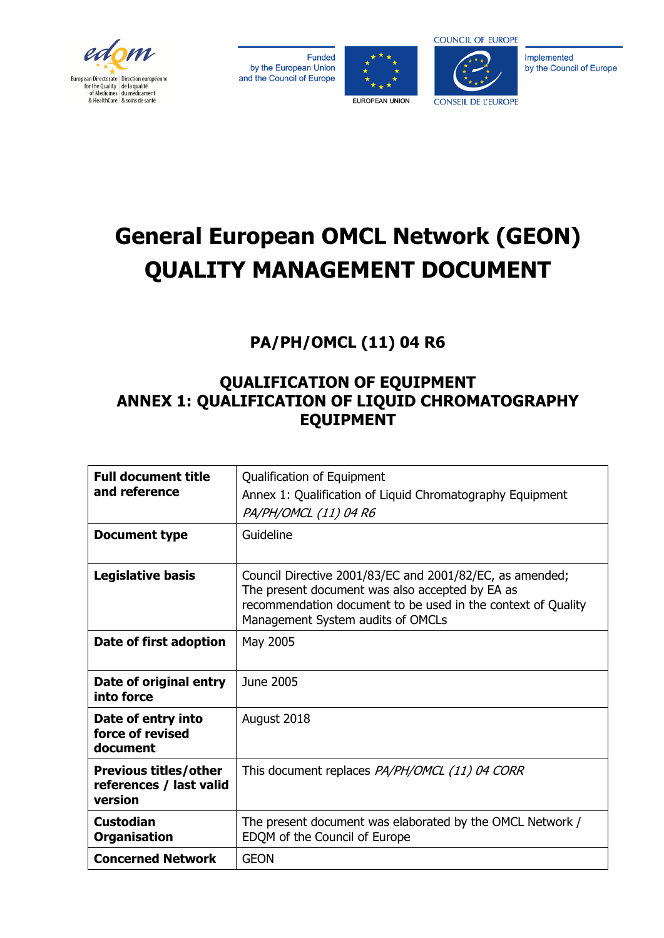

Funded by the European Union and the Council of Europe





Implemented by the Council of Europe

# **General European OMCL Network (GEON) QUALITY MANAGEMENT DOCUMENT**

**PA/PH/OMCL (11) 04 R6** 

# **QUALIFICATION OF EQUIPMENT ANNEX 1: QUALIFICATION OF LIQUID CHROMATOGRAPHY EQUIPMENT**

| <b>Full document title</b><br>and reference                        | Qualification of Equipment<br>Annex 1: Qualification of Liquid Chromatography Equipment<br>PA/PH/OMCL (11) 04 R6                                                                                                 |
|--------------------------------------------------------------------|------------------------------------------------------------------------------------------------------------------------------------------------------------------------------------------------------------------|
| <b>Document type</b>                                               | Guideline                                                                                                                                                                                                        |
| Legislative basis                                                  | Council Directive 2001/83/EC and 2001/82/EC, as amended;<br>The present document was also accepted by EA as<br>recommendation document to be used in the context of Quality<br>Management System audits of OMCLs |
| Date of first adoption                                             | May 2005                                                                                                                                                                                                         |
| Date of original entry<br>into force                               | June 2005                                                                                                                                                                                                        |
| Date of entry into<br>force of revised<br>document                 | August 2018                                                                                                                                                                                                      |
| <b>Previous titles/other</b><br>references / last valid<br>version | This document replaces PA/PH/OMCL (11) 04 CORR                                                                                                                                                                   |
| <b>Custodian</b><br><b>Organisation</b>                            | The present document was elaborated by the OMCL Network /<br>EDQM of the Council of Europe                                                                                                                       |
| <b>Concerned Network</b>                                           | <b>GEON</b>                                                                                                                                                                                                      |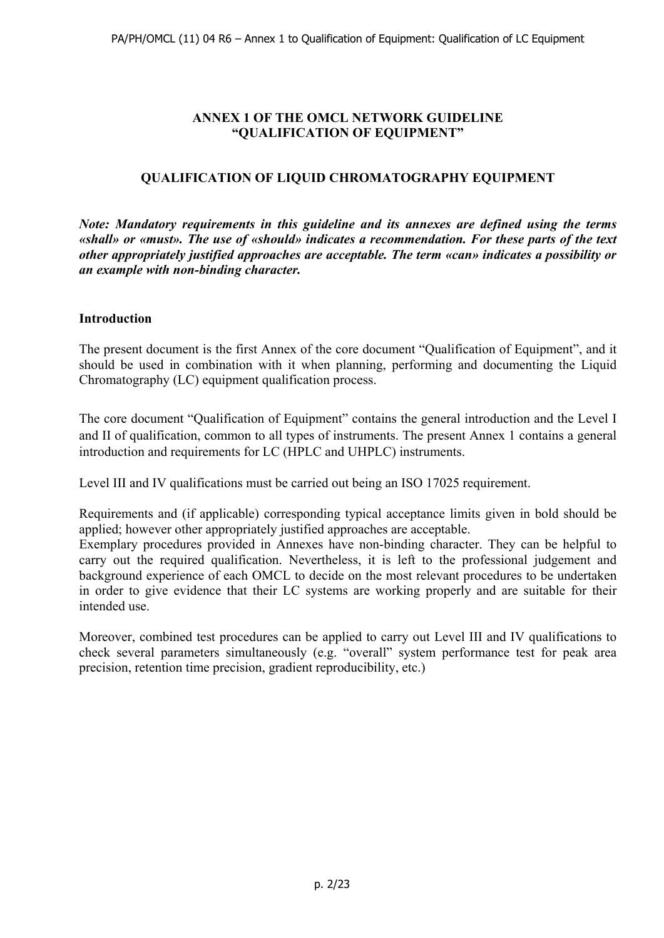## **ANNEX 1 OF THE OMCL NETWORK GUIDELINE "QUALIFICATION OF EQUIPMENT"**

## **QUALIFICATION OF LIQUID CHROMATOGRAPHY EQUIPMENT**

*Note: Mandatory requirements in this guideline and its annexes are defined using the terms «shall» or «must». The use of «should» indicates a recommendation. For these parts of the text other appropriately justified approaches are acceptable. The term «can» indicates a possibility or an example with non-binding character.*

## **Introduction**

The present document is the first Annex of the core document "Qualification of Equipment", and it should be used in combination with it when planning, performing and documenting the Liquid Chromatography (LC) equipment qualification process.

The core document "Qualification of Equipment" contains the general introduction and the Level I and II of qualification, common to all types of instruments. The present Annex 1 contains a general introduction and requirements for LC (HPLC and UHPLC) instruments.

Level III and IV qualifications must be carried out being an ISO 17025 requirement.

Requirements and (if applicable) corresponding typical acceptance limits given in bold should be applied; however other appropriately justified approaches are acceptable.

Exemplary procedures provided in Annexes have non-binding character. They can be helpful to carry out the required qualification. Nevertheless, it is left to the professional judgement and background experience of each OMCL to decide on the most relevant procedures to be undertaken in order to give evidence that their LC systems are working properly and are suitable for their intended use.

Moreover, combined test procedures can be applied to carry out Level III and IV qualifications to check several parameters simultaneously (e.g. "overall" system performance test for peak area precision, retention time precision, gradient reproducibility, etc.)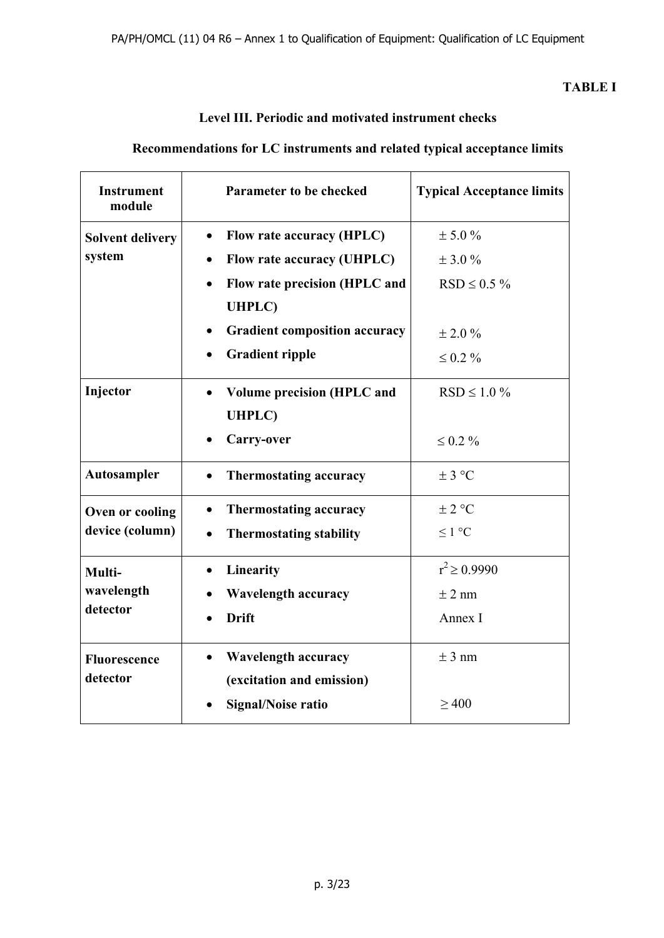# **TABLE I**

# **Level III. Periodic and motivated instrument checks**

## **Recommendations for LC instruments and related typical acceptance limits**

| <b>Instrument</b><br>module | Parameter to be checked                | <b>Typical Acceptance limits</b> |
|-----------------------------|----------------------------------------|----------------------------------|
| <b>Solvent delivery</b>     | Flow rate accuracy (HPLC)<br>$\bullet$ | $\pm$ 5.0 %                      |
| system                      | Flow rate accuracy (UHPLC)             | $\pm$ 3.0 %                      |
|                             | Flow rate precision (HPLC and          | $RSD \le 0.5 \%$                 |
|                             | <b>UHPLC</b> )                         |                                  |
|                             | <b>Gradient composition accuracy</b>   | $\pm 2.0 \%$                     |
|                             | <b>Gradient ripple</b>                 | $\leq 0.2 \%$                    |
| Injector                    | <b>Volume precision (HPLC and</b>      | $RSD \le 1.0 \%$                 |
|                             | <b>UHPLC</b> )                         |                                  |
|                             | Carry-over                             | $\leq 0.2 \%$                    |
| Autosampler                 | <b>Thermostating accuracy</b>          | $\pm$ 3 °C                       |
| Oven or cooling             | <b>Thermostating accuracy</b>          | $\pm$ 2 °C                       |
| device (column)             | <b>Thermostating stability</b>         | ≤ 1 °C                           |
| Multi-                      | Linearity                              | $r^2 \ge 0.9990$                 |
| wavelength                  | <b>Wavelength accuracy</b>             | $±$ 2 nm                         |
| detector                    | <b>Drift</b>                           | Annex I                          |
| <b>Fluorescence</b>         | <b>Wavelength accuracy</b>             | $\pm$ 3 nm                       |
| detector                    | (excitation and emission)              |                                  |
|                             | <b>Signal/Noise ratio</b>              | >400                             |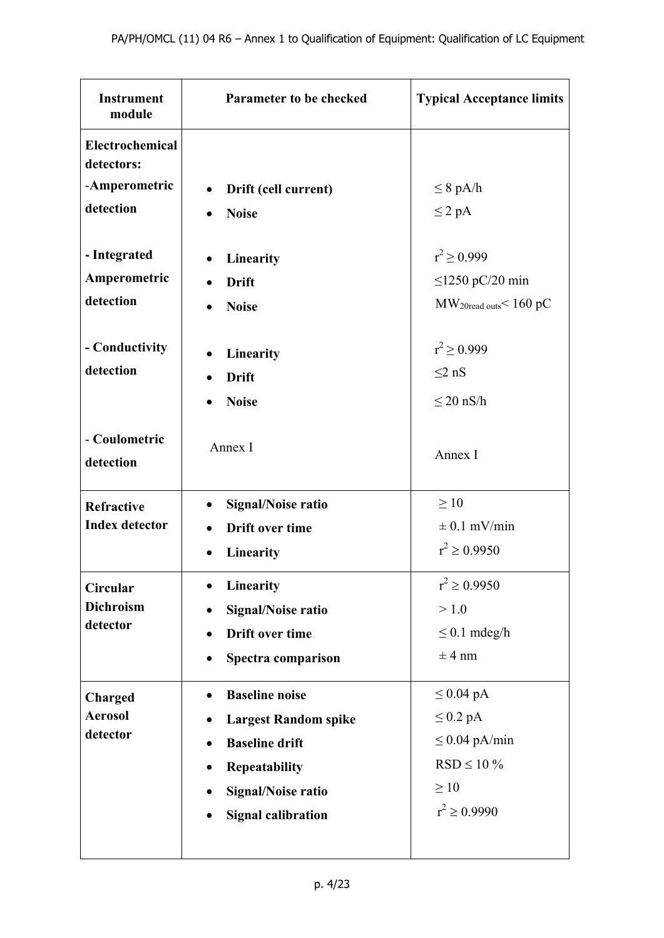| <b>Instrument</b><br>module                                 | Parameter to be checked                                                                                                                                  | <b>Typical Acceptance limits</b>                                                                          |
|-------------------------------------------------------------|----------------------------------------------------------------------------------------------------------------------------------------------------------|-----------------------------------------------------------------------------------------------------------|
| Electrochemical<br>detectors:<br>-Amperometric<br>detection | Drift (cell current)<br><b>Noise</b>                                                                                                                     | $\leq$ 8 pA/h<br>$\leq$ 2 pA                                                                              |
| - Integrated<br>Amperometric<br>detection<br>- Conductivity | Linearity<br>Drift<br><b>Noise</b>                                                                                                                       | $r^2 \ge 0.999$<br>$\leq$ 1250 pC/20 min<br>$\text{MW}_\text{20read outs}$ < 160 pC                       |
| detection                                                   | Linearity<br><b>Drift</b><br><b>Noise</b>                                                                                                                | $r^2 \ge 0.999$<br>$\leq$ 2 nS<br>$\leq$ 20 nS/h                                                          |
| - Coulometric<br>detection                                  | Annex I                                                                                                                                                  | Annex I                                                                                                   |
| <b>Refractive</b><br><b>Index detector</b>                  | <b>Signal/Noise ratio</b><br><b>Drift over time</b><br>Linearity                                                                                         | $\geq 10$<br>$\pm$ 0.1 mV/min<br>$r^2 \ge 0.9950$                                                         |
| Circular<br><b>Dichroism</b><br>detector                    | Linearity<br><b>Signal/Noise ratio</b><br>Drift over time<br>Spectra comparison                                                                          | $r^2 \ge 0.9950$<br>> 1.0<br>$\leq 0.1$ mdeg/h<br>$\pm$ 4 nm                                              |
| Charged<br><b>Aerosol</b><br>detector                       | <b>Baseline noise</b><br><b>Largest Random spike</b><br><b>Baseline drift</b><br>Repeatability<br><b>Signal/Noise ratio</b><br><b>Signal calibration</b> | $\leq 0.04$ pA<br>$\leq 0.2$ pA<br>$\leq$ 0.04 pA/min<br>$RSD \leq 10\%$<br>$\geq 10$<br>$r^2 \ge 0.9990$ |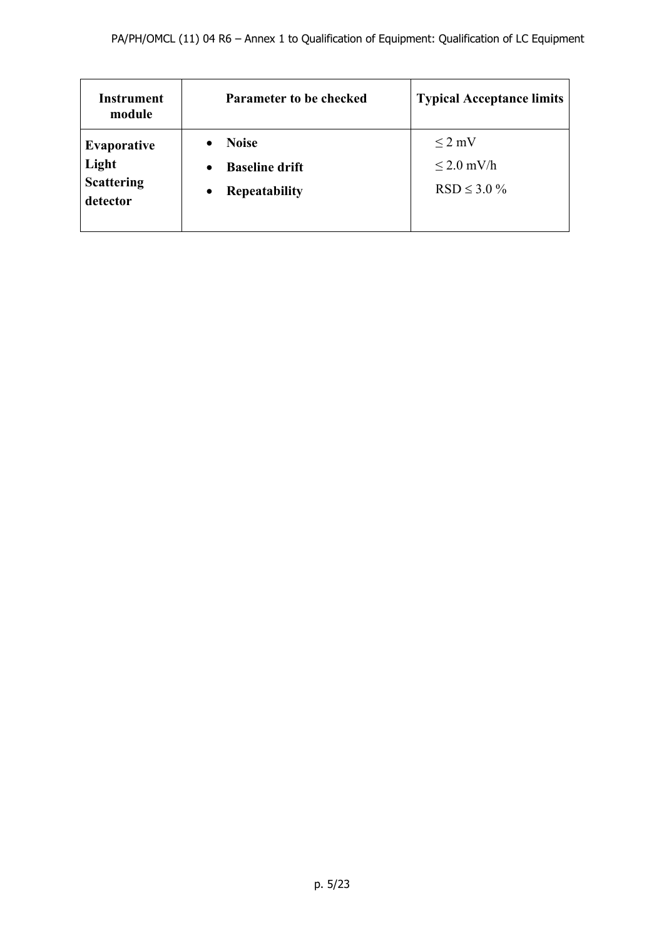| Instrument<br>module          | <b>Parameter to be checked</b>                                  | <b>Typical Acceptance limits</b> |
|-------------------------------|-----------------------------------------------------------------|----------------------------------|
| <b>Evaporative</b><br>Light   | <b>Noise</b><br>$\bullet$<br><b>Baseline drift</b><br>$\bullet$ | $\leq$ 2 mV<br>$\leq$ 2.0 mV/h   |
| <b>Scattering</b><br>detector | <b>Repeatability</b><br>$\bullet$                               | $RSD \leq 3.0 \%$                |
|                               |                                                                 |                                  |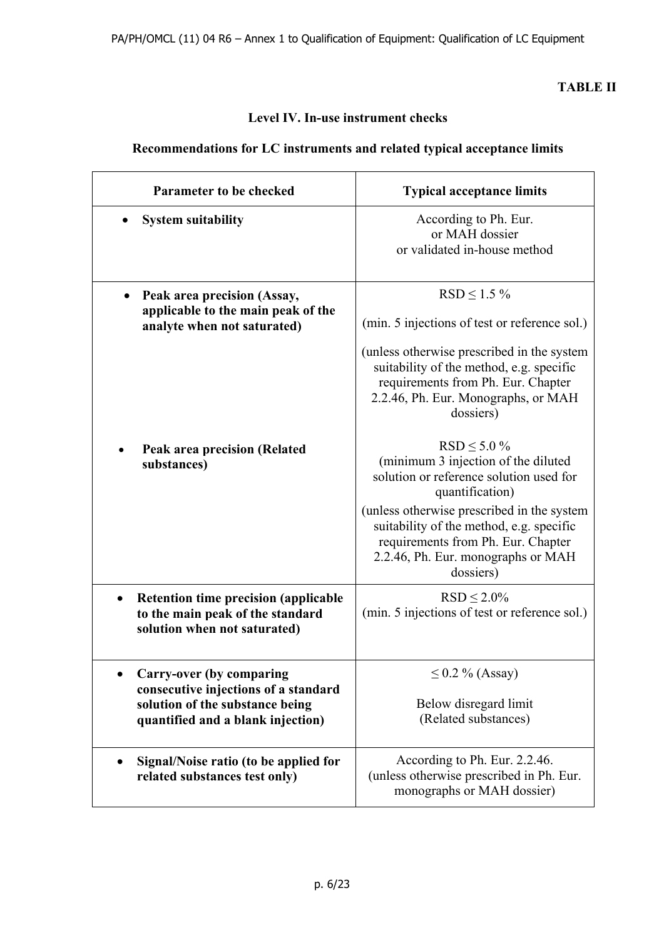# **TABLE II**

## **Level IV. In-use instrument checks**

# **Recommendations for LC instruments and related typical acceptance limits**

| Parameter to be checked                                                                                                                         | <b>Typical acceptance limits</b>                                                                                                                                                                                                                                                                         |
|-------------------------------------------------------------------------------------------------------------------------------------------------|----------------------------------------------------------------------------------------------------------------------------------------------------------------------------------------------------------------------------------------------------------------------------------------------------------|
| <b>System suitability</b>                                                                                                                       | According to Ph. Eur.<br>or MAH dossier<br>or validated in-house method                                                                                                                                                                                                                                  |
| Peak area precision (Assay,<br>$\bullet$<br>applicable to the main peak of the<br>analyte when not saturated)                                   | $RSD \le 1.5\%$<br>(min. 5 injections of test or reference sol.)<br>(unless otherwise prescribed in the system)<br>suitability of the method, e.g. specific<br>requirements from Ph. Eur. Chapter<br>2.2.46, Ph. Eur. Monographs, or MAH<br>dossiers)                                                    |
| <b>Peak area precision (Related</b><br>substances)                                                                                              | $RSD \le 5.0 \%$<br>(minimum 3 injection of the diluted<br>solution or reference solution used for<br>quantification)<br>(unless otherwise prescribed in the system<br>suitability of the method, e.g. specific<br>requirements from Ph. Eur. Chapter<br>2.2.46, Ph. Eur. monographs or MAH<br>dossiers) |
| <b>Retention time precision (applicable</b><br>$\bullet$<br>to the main peak of the standard<br>solution when not saturated)                    | $RSD \leq 2.0\%$<br>(min. 5 injections of test or reference sol.)                                                                                                                                                                                                                                        |
| <b>Carry-over (by comparing</b><br>consecutive injections of a standard<br>solution of the substance being<br>quantified and a blank injection) | $\leq 0.2 \%$ (Assay)<br>Below disregard limit<br>(Related substances)                                                                                                                                                                                                                                   |
| Signal/Noise ratio (to be applied for<br>related substances test only)                                                                          | According to Ph. Eur. 2.2.46.<br>(unless otherwise prescribed in Ph. Eur.)<br>monographs or MAH dossier)                                                                                                                                                                                                 |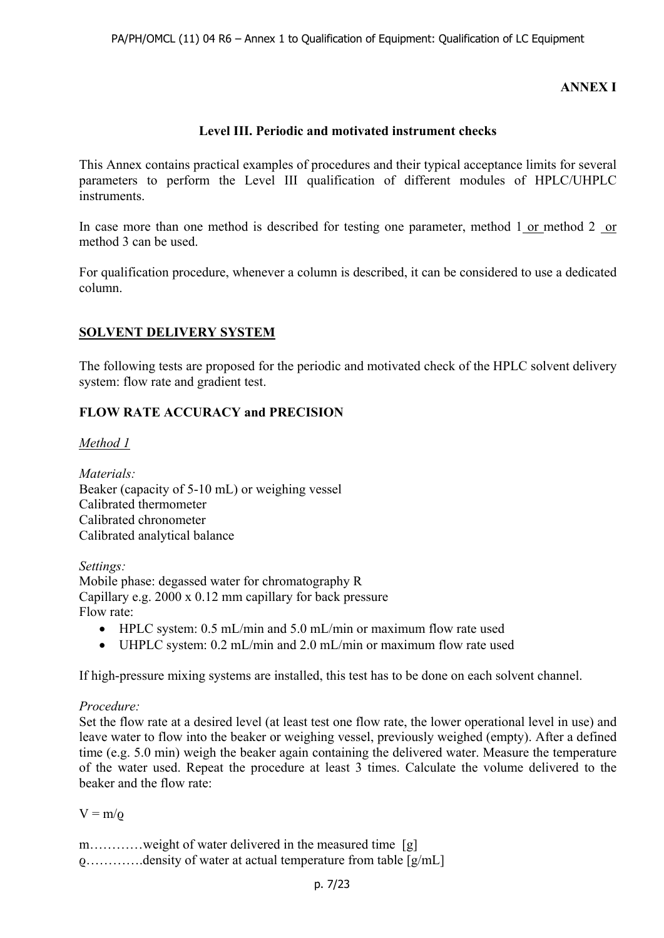## **ANNEX I**

## **Level III. Periodic and motivated instrument checks**

This Annex contains practical examples of procedures and their typical acceptance limits for several parameters to perform the Level III qualification of different modules of HPLC/UHPLC instruments.

In case more than one method is described for testing one parameter, method 1 or method 2 or method 3 can be used.

For qualification procedure, whenever a column is described, it can be considered to use a dedicated column.

## **SOLVENT DELIVERY SYSTEM**

The following tests are proposed for the periodic and motivated check of the HPLC solvent delivery system: flow rate and gradient test.

## **FLOW RATE ACCURACY and PRECISION**

*Method 1* 

*Materials:*  Beaker (capacity of 5-10 mL) or weighing vessel Calibrated thermometer Calibrated chronometer Calibrated analytical balance

*Settings:*  Mobile phase: degassed water for chromatography R Capillary e.g. 2000 x 0.12 mm capillary for back pressure Flow rate:

- HPLC system: 0.5 mL/min and 5.0 mL/min or maximum flow rate used
- UHPLC system: 0.2 mL/min and 2.0 mL/min or maximum flow rate used

If high-pressure mixing systems are installed, this test has to be done on each solvent channel.

## *Procedure:*

Set the flow rate at a desired level (at least test one flow rate, the lower operational level in use) and leave water to flow into the beaker or weighing vessel, previously weighed (empty). After a defined time (e.g. 5.0 min) weigh the beaker again containing the delivered water. Measure the temperature of the water used. Repeat the procedure at least 3 times. Calculate the volume delivered to the beaker and the flow rate:

 $V = m/\rho$ 

m............weight of water delivered in the measured time [g] ϱ………….density of water at actual temperature from table [g/mL]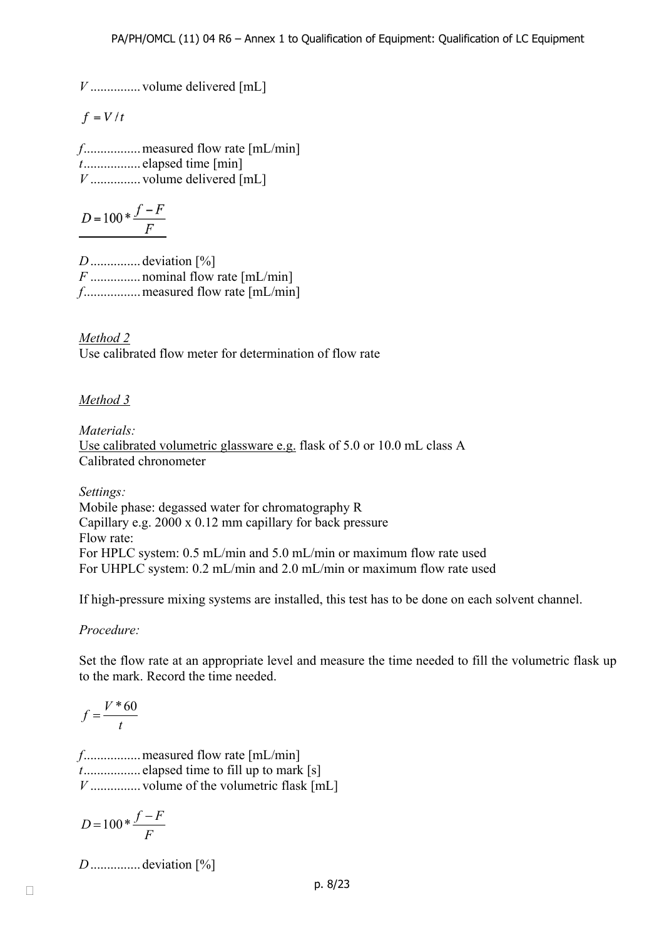*V* ............... volume delivered [mL]

 $f = V/t$ 

*f* ................. measured flow rate [mL/min] *t* ................. elapsed time [min] *V* ............... volume delivered [mL]

 $D = 100 * \frac{f - F}{F}$ 

*D* ............... deviation [%] *F* ............... nominal flow rate [mL/min] *f* ................. measured flow rate [mL/min]

*Method 2*  Use calibrated flow meter for determination of flow rate

## *Method 3*

*Materials:*  Use calibrated volumetric glassware e.g. flask of 5.0 or 10.0 mL class A Calibrated chronometer

*Settings:*  Mobile phase: degassed water for chromatography R Capillary e.g. 2000 x 0.12 mm capillary for back pressure Flow rate: For HPLC system: 0.5 mL/min and 5.0 mL/min or maximum flow rate used For UHPLC system: 0.2 mL/min and 2.0 mL/min or maximum flow rate used

If high-pressure mixing systems are installed, this test has to be done on each solvent channel.

*Procedure:*

Set the flow rate at an appropriate level and measure the time needed to fill the volumetric flask up to the mark. Record the time needed.

$$
f = \frac{V * 60}{t}
$$

*f* ................. measured flow rate [mL/min] *t* ................. elapsed time to fill up to mark [s] *V* ............... volume of the volumetric flask [mL]

$$
D = 100 * \frac{f - F}{F}
$$

*D* ............... deviation [%]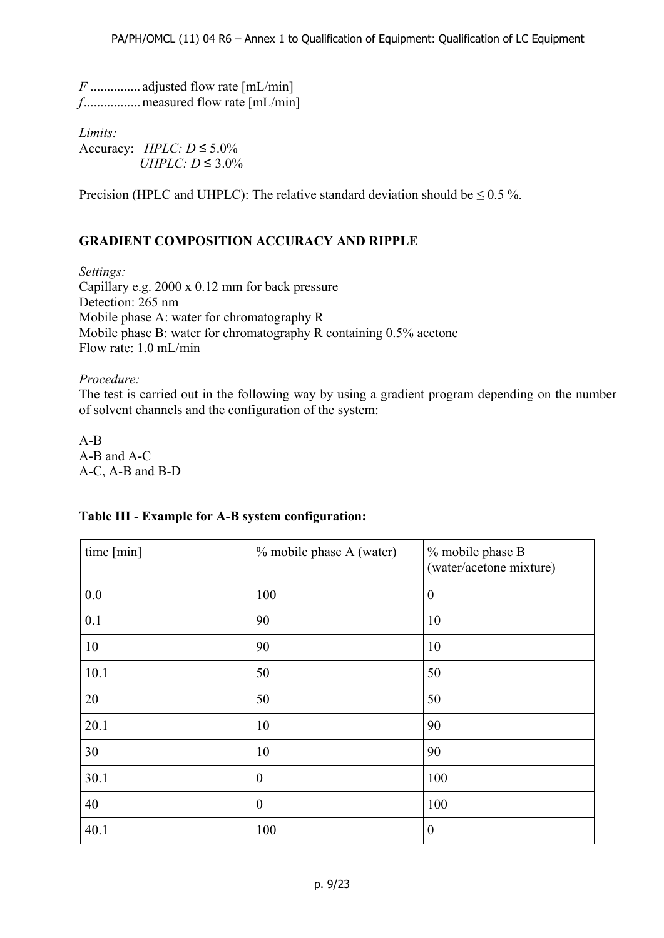*F* ............... adjusted flow rate [mL/min] *f* ................. measured flow rate [mL/min]

*Limits:*  Accuracy:  $HPLC: D \leq 5.0\%$  *UHPLC: D* ≤ 3.0%

Precision (HPLC and UHPLC): The relative standard deviation should be  $\leq 0.5$  %.

## **GRADIENT COMPOSITION ACCURACY AND RIPPLE**

*Settings:*  Capillary e.g. 2000 x 0.12 mm for back pressure Detection: 265 nm Mobile phase A: water for chromatography R Mobile phase B: water for chromatography R containing 0.5% acetone Flow rate: 1.0 mL/min

*Procedure:* 

The test is carried out in the following way by using a gradient program depending on the number of solvent channels and the configuration of the system:

A-B A-B and A-C A-C, A-B and B-D

| time [min] | % mobile phase A (water) | % mobile phase B<br>(water/acetone mixture) |
|------------|--------------------------|---------------------------------------------|
| 0.0        | 100                      | $\boldsymbol{0}$                            |
| 0.1        | 90                       | 10                                          |
| 10         | 90                       | 10                                          |
| 10.1       | 50                       | 50                                          |
| 20         | 50                       | 50                                          |
| 20.1       | 10                       | 90                                          |
| 30         | 10                       | 90                                          |
| 30.1       | $\boldsymbol{0}$         | 100                                         |
| 40         | $\boldsymbol{0}$         | 100                                         |
| 40.1       | 100                      | $\boldsymbol{0}$                            |

## **Table III - Example for A-B system configuration:**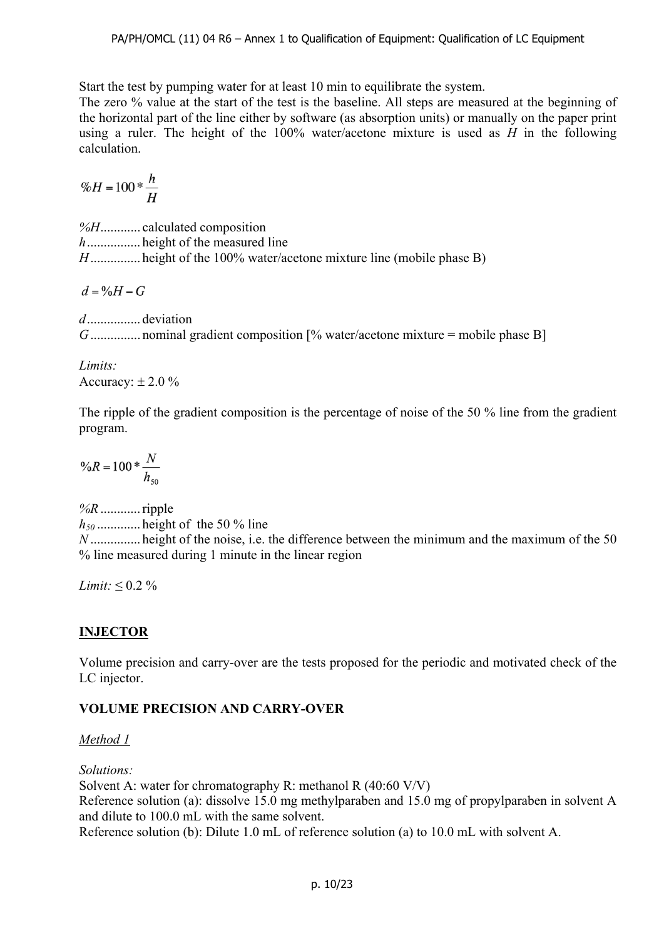Start the test by pumping water for at least 10 min to equilibrate the system.

The zero % value at the start of the test is the baseline. All steps are measured at the beginning of the horizontal part of the line either by software (as absorption units) or manually on the paper print using a ruler. The height of the 100% water/acetone mixture is used as *H* in the following calculation.

$$
\%H = 100 * \frac{h}{H}
$$

*%H* ............ calculated composition *h* ................ height of the measured line *H* ............... height of the 100% water/acetone mixture line (mobile phase B)

 $d = \frac{9}{6}H - G$ 

*d* ................ deviation *G* ................. nominal gradient composition [% water/acetone mixture = mobile phase B]

*Limits:* Accuracy:  $\pm 2.0 \%$ 

The ripple of the gradient composition is the percentage of noise of the 50 % line from the gradient program.

$$
\%R = 100 * \frac{N}{h_{50}}
$$

*%R* ............ ripple *h50* ............. height of the 50 % line *N* ............... height of the noise, i.e. the difference between the minimum and the maximum of the 50 % line measured during 1 minute in the linear region

*Limit:*  $\leq 0.2 \%$ 

## **INJECTOR**

Volume precision and carry-over are the tests proposed for the periodic and motivated check of the LC injector.

## **VOLUME PRECISION AND CARRY-OVER**

## *Method 1*

*Solutions:* 

Solvent A: water for chromatography R: methanol R (40:60 V/V) Reference solution (a): dissolve 15.0 mg methylparaben and 15.0 mg of propylparaben in solvent A and dilute to 100.0 mL with the same solvent. Reference solution (b): Dilute 1.0 mL of reference solution (a) to 10.0 mL with solvent A.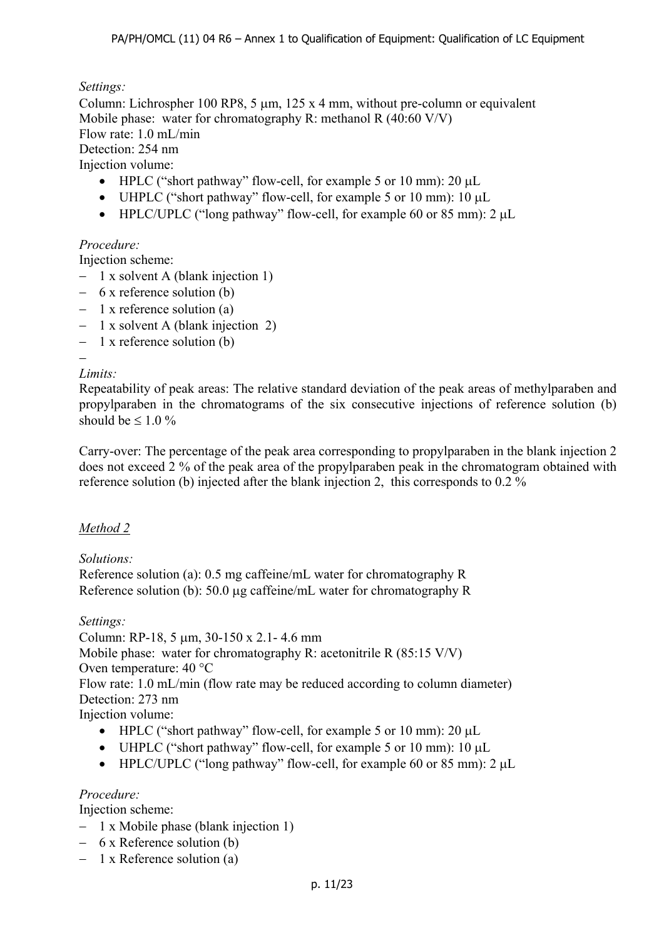*Settings:* 

Column: Lichrospher 100 RP8, 5  $\mu$ m, 125 x 4 mm, without pre-column or equivalent Mobile phase: water for chromatography R: methanol R (40:60 V/V) Flow rate: 1.0 mL/min Detection: 254 nm

Injection volume:

- $\bullet$  HPLC ("short pathway" flow-cell, for example 5 or 10 mm): 20  $\mu$ L
- UHPLC ("short pathway" flow-cell, for example 5 or 10 mm):  $10 \mu L$
- $\bullet$  HPLC/UPLC ("long pathway" flow-cell, for example 60 or 85 mm): 2  $\mu$ L

## *Procedure:*

Injection scheme:

- $-1$  x solvent A (blank injection 1)
- $-6x$  reference solution (b)
- $-1$  x reference solution (a)
- $-1$  x solvent A (blank injection 2)
- $-1$  x reference solution (b)

## $\overline{a}$

## *Limits:*

Repeatability of peak areas: The relative standard deviation of the peak areas of methylparaben and propylparaben in the chromatograms of the six consecutive injections of reference solution (b) should be  $\leq 1.0 \%$ 

Carry-over: The percentage of the peak area corresponding to propylparaben in the blank injection 2 does not exceed 2 % of the peak area of the propylparaben peak in the chromatogram obtained with reference solution (b) injected after the blank injection 2, this corresponds to 0.2 %

## *Method 2*

## *Solutions:*

Reference solution (a): 0.5 mg caffeine/mL water for chromatography R Reference solution (b): 50.0  $\mu$ g caffeine/mL water for chromatography R

## *Settings:*

Column: RP-18, 5 μm, 30-150 x 2.1- 4.6 mm Mobile phase: water for chromatography R: acetonitrile R (85:15 V/V) Oven temperature: 40 °C Flow rate: 1.0 mL/min (flow rate may be reduced according to column diameter) Detection: 273 nm

Injection volume:

- $\bullet$  HPLC ("short pathway" flow-cell, for example 5 or 10 mm): 20  $\mu$ L
- UHPLC ("short pathway" flow-cell, for example 5 or 10 mm):  $10 \mu L$
- $\bullet$  HPLC/UPLC ("long pathway" flow-cell, for example 60 or 85 mm): 2 µL

## *Procedure:*

Injection scheme:

- $-1$  x Mobile phase (blank injection 1)
- $-6x$  Reference solution (b)
- $-1$  x Reference solution (a)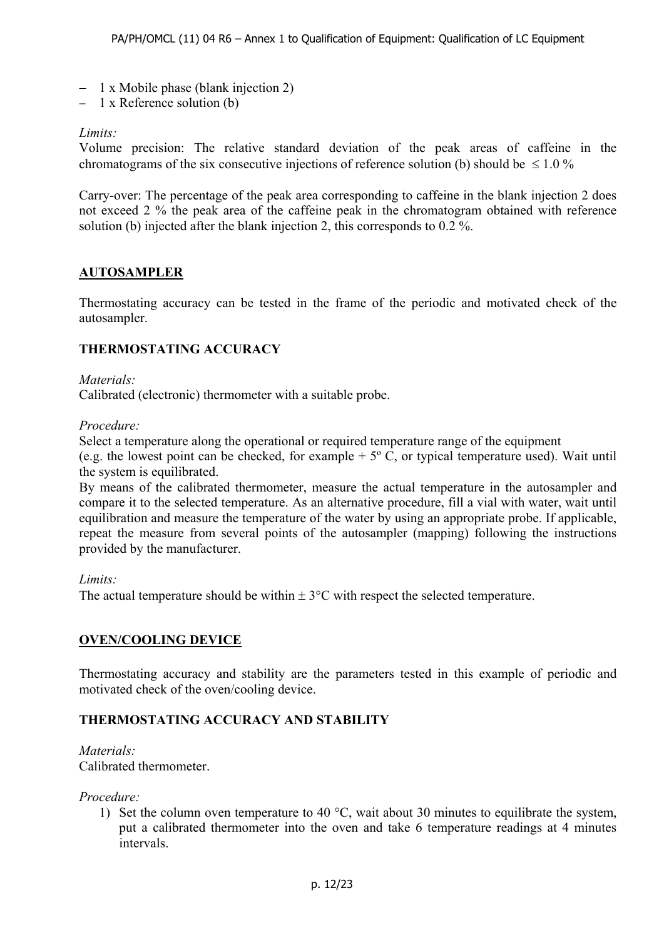- $-1$  x Mobile phase (blank injection 2)
- $-1$  x Reference solution (b)

#### *Limits:*

Volume precision: The relative standard deviation of the peak areas of caffeine in the chromatograms of the six consecutive injections of reference solution (b) should be  $\leq 1.0 \%$ 

Carry-over: The percentage of the peak area corresponding to caffeine in the blank injection 2 does not exceed 2 % the peak area of the caffeine peak in the chromatogram obtained with reference solution (b) injected after the blank injection 2, this corresponds to 0.2 %.

## **AUTOSAMPLER**

Thermostating accuracy can be tested in the frame of the periodic and motivated check of the autosampler.

#### **THERMOSTATING ACCURACY**

#### *Materials:*

Calibrated (electronic) thermometer with a suitable probe.

#### *Procedure:*

Select a temperature along the operational or required temperature range of the equipment

(e.g. the lowest point can be checked, for example  $+5^{\circ}$  C, or typical temperature used). Wait until the system is equilibrated.

By means of the calibrated thermometer, measure the actual temperature in the autosampler and compare it to the selected temperature. As an alternative procedure, fill a vial with water, wait until equilibration and measure the temperature of the water by using an appropriate probe. If applicable, repeat the measure from several points of the autosampler (mapping) following the instructions provided by the manufacturer.

#### *Limits:*

The actual temperature should be within  $\pm 3^{\circ}$ C with respect the selected temperature.

## **OVEN/COOLING DEVICE**

Thermostating accuracy and stability are the parameters tested in this example of periodic and motivated check of the oven/cooling device.

## **THERMOSTATING ACCURACY AND STABILITY**

#### *Materials:*

Calibrated thermometer.

#### *Procedure:*

1) Set the column oven temperature to 40 °C, wait about 30 minutes to equilibrate the system, put a calibrated thermometer into the oven and take 6 temperature readings at 4 minutes intervals.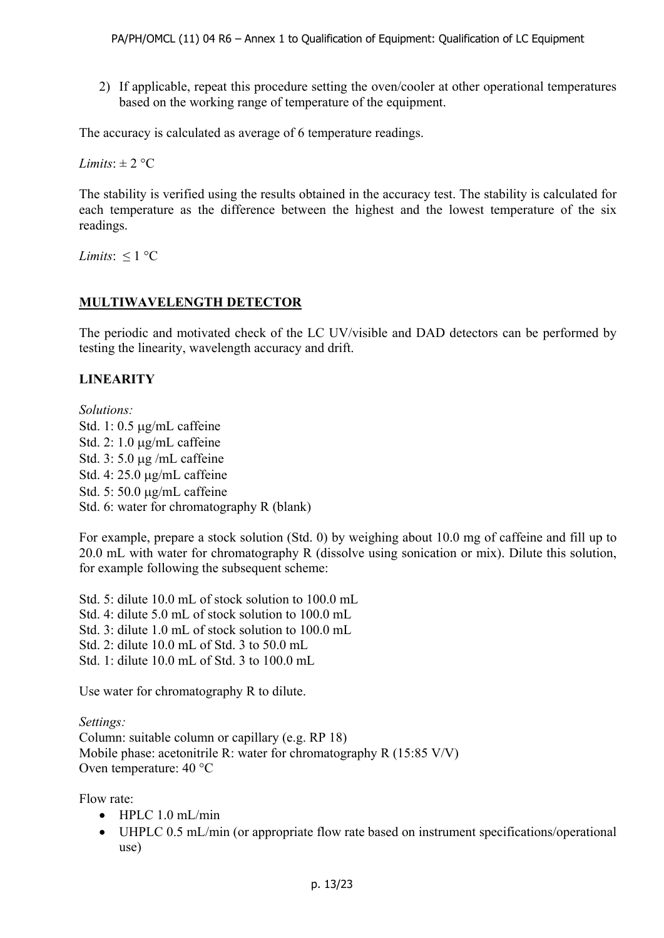2) If applicable, repeat this procedure setting the oven/cooler at other operational temperatures based on the working range of temperature of the equipment.

The accuracy is calculated as average of 6 temperature readings.

*Limits*:  $\pm$  2 °C

The stability is verified using the results obtained in the accuracy test. The stability is calculated for each temperature as the difference between the highest and the lowest temperature of the six readings.

*Limits*:  $\leq 1$  °C

## **MULTIWAVELENGTH DETECTOR**

The periodic and motivated check of the LC UV/visible and DAD detectors can be performed by testing the linearity, wavelength accuracy and drift.

## **LINEARITY**

*Solutions:*  Std. 1:  $0.5 \mu g/mL$  caffeine Std. 2:  $1.0 \mu g/mL$  caffeine Std. 3:  $5.0 \mu$ g /mL caffeine Std. 4:  $25.0 \mu$ g/mL caffeine Std. 5:  $50.0 \mu g/mL$  caffeine Std. 6: water for chromatography R (blank)

For example, prepare a stock solution (Std. 0) by weighing about 10.0 mg of caffeine and fill up to 20.0 mL with water for chromatography R (dissolve using sonication or mix). Dilute this solution, for example following the subsequent scheme:

Std. 5: dilute 10.0 mL of stock solution to 100.0 mL Std. 4: dilute 5.0 mL of stock solution to 100.0 mL Std. 3: dilute 1.0 mL of stock solution to 100.0 mL Std. 2: dilute 10.0 mL of Std. 3 to 50.0 mL Std. 1: dilute 10.0 mL of Std. 3 to 100.0 mL

Use water for chromatography R to dilute.

*Settings:*  Column: suitable column or capillary (e.g. RP 18) Mobile phase: acetonitrile R: water for chromatography R (15:85 V/V) Oven temperature: 40 °C

Flow rate:

- $\bullet$  HPLC 1.0 mL/min
- UHPLC 0.5 mL/min (or appropriate flow rate based on instrument specifications/operational use)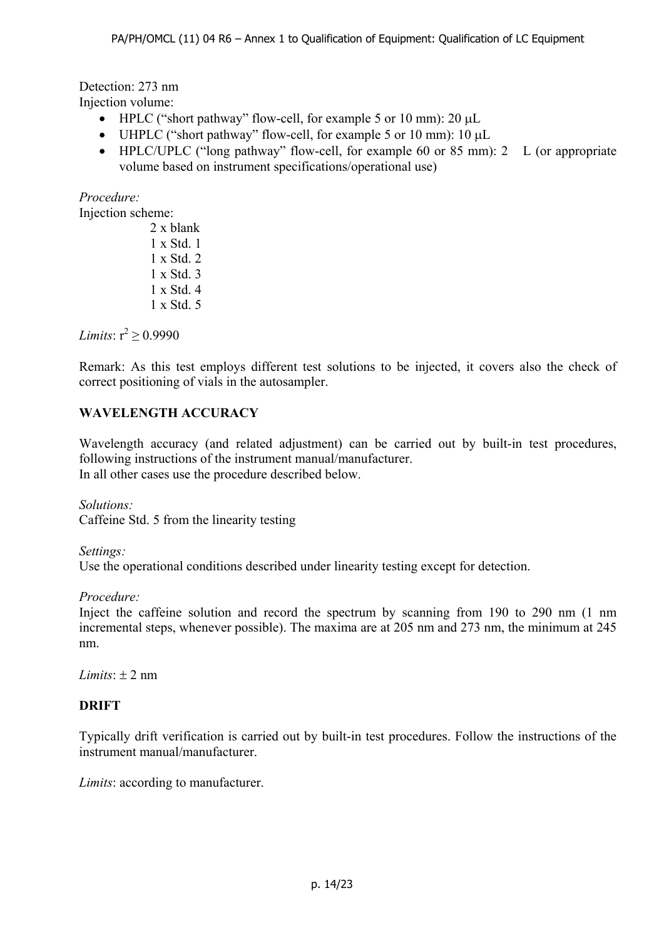Detection: 273 nm Injection volume:

- $\bullet$  HPLC ("short pathway" flow-cell, for example 5 or 10 mm): 20  $\mu$ L
- UHPLC ("short pathway" flow-cell, for example 5 or 10 mm):  $10 \mu L$
- $\bullet$  HPLC/UPLC ("long pathway" flow-cell, for example 60 or 85 mm): 2 L (or appropriate volume based on instrument specifications/operational use)

*Procedure:* 

Injection scheme:

2 x blank 1 x Std. 1 1 x Std. 2 1 x Std. 3 1 x Std. 4 1 x Std. 5

*Limits*:  $r^2 > 0.9990$ 

Remark: As this test employs different test solutions to be injected, it covers also the check of correct positioning of vials in the autosampler.

## **WAVELENGTH ACCURACY**

Wavelength accuracy (and related adjustment) can be carried out by built-in test procedures, following instructions of the instrument manual/manufacturer. In all other cases use the procedure described below.

*Solutions:*  Caffeine Std. 5 from the linearity testing

#### *Settings:*

Use the operational conditions described under linearity testing except for detection.

#### *Procedure:*

Inject the caffeine solution and record the spectrum by scanning from 190 to 290 nm (1 nm incremental steps, whenever possible). The maxima are at 205 nm and 273 nm, the minimum at 245 nm.

*Limits*:  $\pm 2$  nm

#### **DRIFT**

Typically drift verification is carried out by built-in test procedures. Follow the instructions of the instrument manual/manufacturer.

*Limits*: according to manufacturer.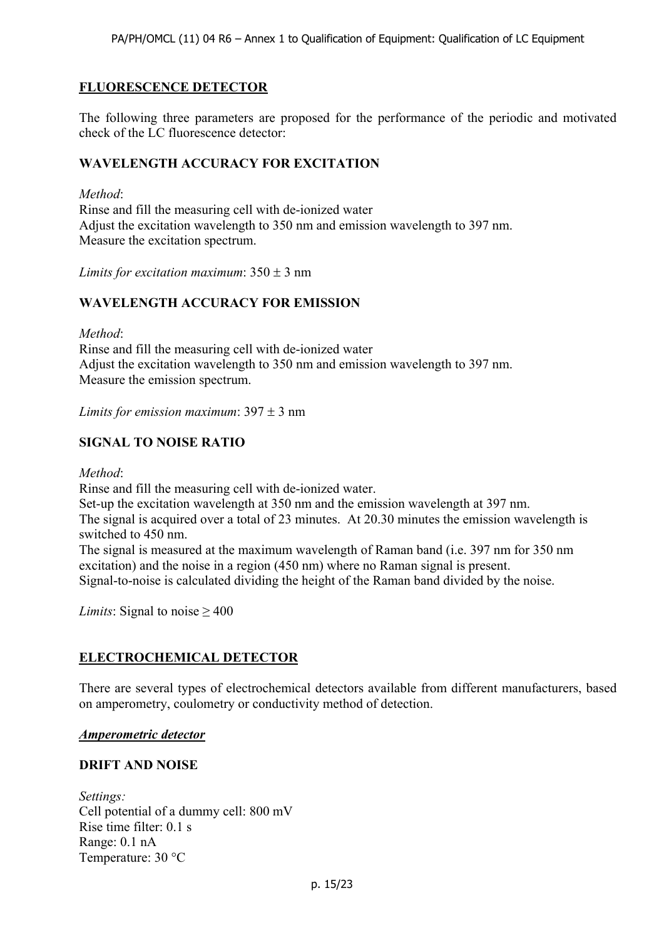## **FLUORESCENCE DETECTOR**

The following three parameters are proposed for the performance of the periodic and motivated check of the LC fluorescence detector:

## **WAVELENGTH ACCURACY FOR EXCITATION**

*Method*:

Rinse and fill the measuring cell with de-ionized water Adjust the excitation wavelength to 350 nm and emission wavelength to 397 nm. Measure the excitation spectrum.

*Limits for excitation maximum*:  $350 \pm 3$  nm

## **WAVELENGTH ACCURACY FOR EMISSION**

*Method*: Rinse and fill the measuring cell with de-ionized water Adjust the excitation wavelength to 350 nm and emission wavelength to 397 nm. Measure the emission spectrum.

*Limits for emission maximum*:  $397 \pm 3$  nm

## **SIGNAL TO NOISE RATIO**

*Method*:

Rinse and fill the measuring cell with de-ionized water.

Set-up the excitation wavelength at 350 nm and the emission wavelength at 397 nm.

The signal is acquired over a total of 23 minutes. At 20.30 minutes the emission wavelength is switched to 450 nm.

The signal is measured at the maximum wavelength of Raman band (i.e. 397 nm for 350 nm excitation) and the noise in a region (450 nm) where no Raman signal is present. Signal-to-noise is calculated dividing the height of the Raman band divided by the noise.

*Limits*: Signal to noise  $\geq 400$ 

#### **ELECTROCHEMICAL DETECTOR**

There are several types of electrochemical detectors available from different manufacturers, based on amperometry, coulometry or conductivity method of detection.

#### *Amperometric detector*

#### **DRIFT AND NOISE**

*Settings:*  Cell potential of a dummy cell: 800 mV Rise time filter: 0.1 s Range: 0.1 nA Temperature: 30 °C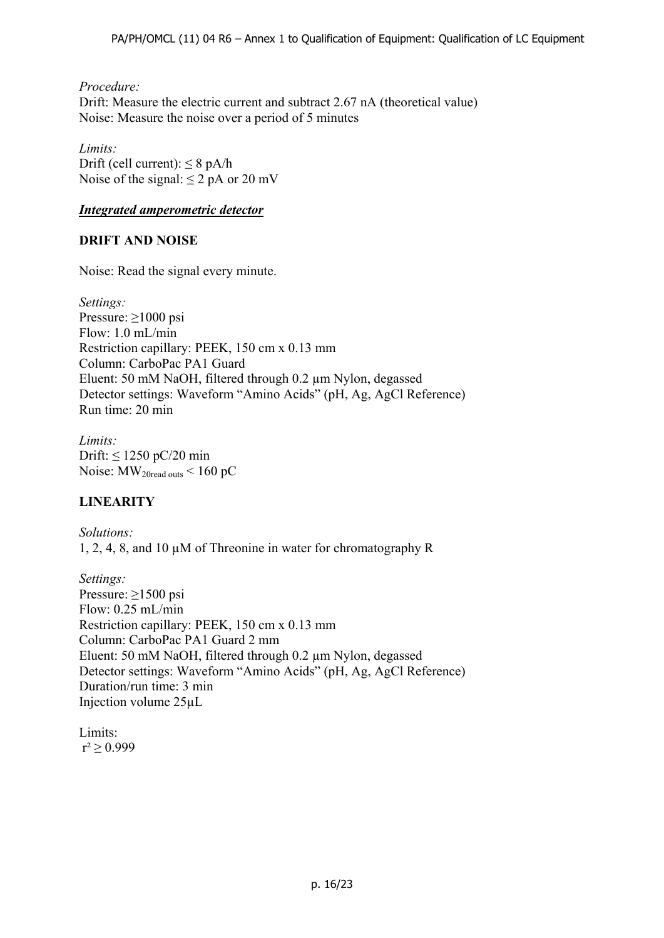*Procedure:*  Drift: Measure the electric current and subtract 2.67 nA (theoretical value) Noise: Measure the noise over a period of 5 minutes

*Limits:*  Drift (cell current):  $\leq 8$  pA/h Noise of the signal:  $\leq$  2 pA or 20 mV

#### *Integrated amperometric detector*

## **DRIFT AND NOISE**

Noise: Read the signal every minute.

*Settings:*  Pressure: ≥1000 psi Flow: 1.0 mL/min Restriction capillary: PEEK, 150 cm x 0.13 mm Column: CarboPac PA1 Guard Eluent: 50 mM NaOH, filtered through 0.2 µm Nylon, degassed Detector settings: Waveform "Amino Acids" (pH, Ag, AgCl Reference) Run time: 20 min

*Limits:*  Drift:  $\leq 1250$  pC/20 min Noise:  $\text{MW}_{20\text{read outs}}$  < 160 pC

## **LINEARITY**

*Solutions:* 1, 2, 4, 8, and 10 µM of Threonine in water for chromatography R

*Settings:*  Pressure: ≥1500 psi Flow: 0.25 mL/min Restriction capillary: PEEK, 150 cm x 0.13 mm Column: CarboPac PA1 Guard 2 mm Eluent: 50 mM NaOH, filtered through 0.2 µm Nylon, degassed Detector settings: Waveform "Amino Acids" (pH, Ag, AgCl Reference) Duration/run time: 3 min Injection volume 25µL

Limits:  $r^2 \ge 0.999$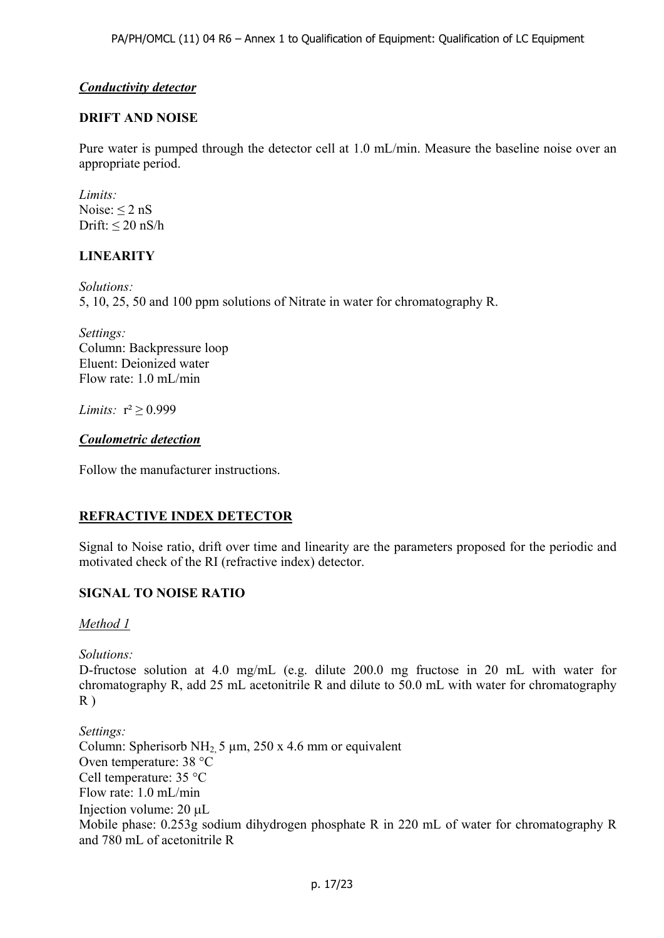## *Conductivity detector*

## **DRIFT AND NOISE**

Pure water is pumped through the detector cell at 1.0 mL/min. Measure the baseline noise over an appropriate period.

*Limits:*  Noise:  $\leq 2 \text{ nS}$ Drift:  $\leq 20$  nS/h

## **LINEARITY**

*Solutions:* 5, 10, 25, 50 and 100 ppm solutions of Nitrate in water for chromatography R.

*Settings:* Column: Backpressure loop Eluent: Deionized water Flow rate: 1.0 mL/min

*Limits:*  $r^2 \ge 0.999$ 

## *Coulometric detection*

Follow the manufacturer instructions.

## **REFRACTIVE INDEX DETECTOR**

Signal to Noise ratio, drift over time and linearity are the parameters proposed for the periodic and motivated check of the RI (refractive index) detector.

## **SIGNAL TO NOISE RATIO**

*Method 1* 

*Solutions:* 

D-fructose solution at 4.0 mg/mL (e.g. dilute 200.0 mg fructose in 20 mL with water for chromatography R, add 25 mL acetonitrile R and dilute to 50.0 mL with water for chromatography  $R)$ 

*Settings:* Column: Spherisorb NH<sub>2</sub>, 5  $\mu$ m, 250 x 4.6 mm or equivalent Oven temperature: 38 °C Cell temperature: 35 °C Flow rate: 1.0 mL/min Injection volume: 20 µL Mobile phase: 0.253g sodium dihydrogen phosphate R in 220 mL of water for chromatography R and 780 mL of acetonitrile R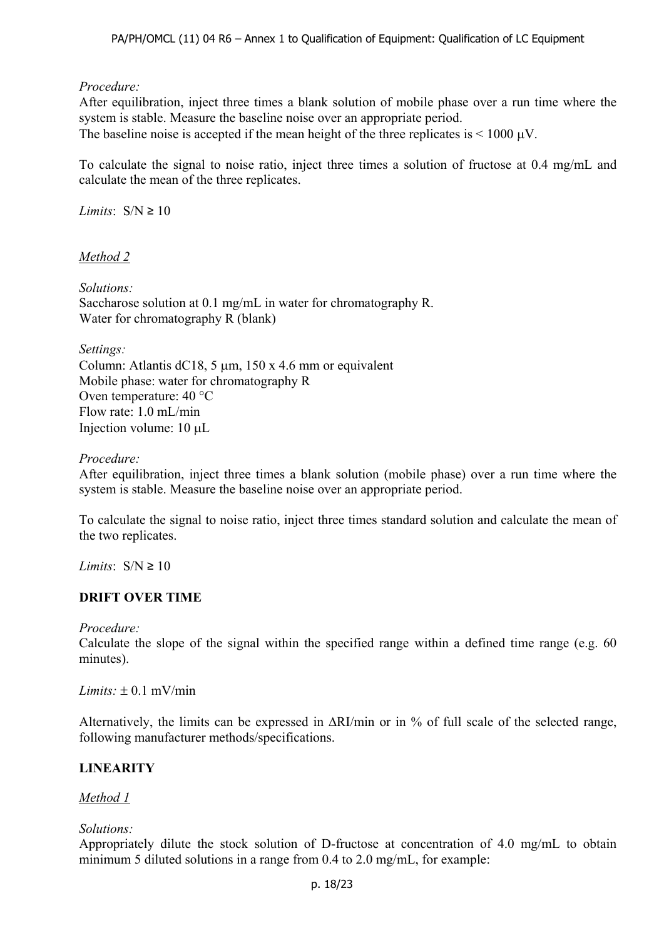#### *Procedure:*

After equilibration, inject three times a blank solution of mobile phase over a run time where the system is stable. Measure the baseline noise over an appropriate period. The baseline noise is accepted if the mean height of the three replicates is  $\leq 1000 \mu V$ .

To calculate the signal to noise ratio, inject three times a solution of fructose at 0.4 mg/mL and calculate the mean of the three replicates.

*Limits*:  $S/N \ge 10$ 

*Method 2* 

*Solutions:*  Saccharose solution at 0.1 mg/mL in water for chromatography R. Water for chromatography R (blank)

*Settings:* 

Column: Atlantis dC18, 5  $\mu$ m, 150 x 4.6 mm or equivalent Mobile phase: water for chromatography R Oven temperature: 40 °C Flow rate: 1.0 mL/min Injection volume: 10 µL

#### *Procedure:*

After equilibration, inject three times a blank solution (mobile phase) over a run time where the system is stable. Measure the baseline noise over an appropriate period.

To calculate the signal to noise ratio, inject three times standard solution and calculate the mean of the two replicates.

*Limits*:  $S/N \ge 10$ 

## **DRIFT OVER TIME**

*Procedure:* 

Calculate the slope of the signal within the specified range within a defined time range (e.g. 60 minutes).

*Limits:*  $+0.1$  mV/min

Alternatively, the limits can be expressed in RI/min or in % of full scale of the selected range, following manufacturer methods/specifications.

## **LINEARITY**

*Method 1* 

#### *Solutions:*

Appropriately dilute the stock solution of D-fructose at concentration of 4.0 mg/mL to obtain minimum 5 diluted solutions in a range from 0.4 to 2.0 mg/mL, for example: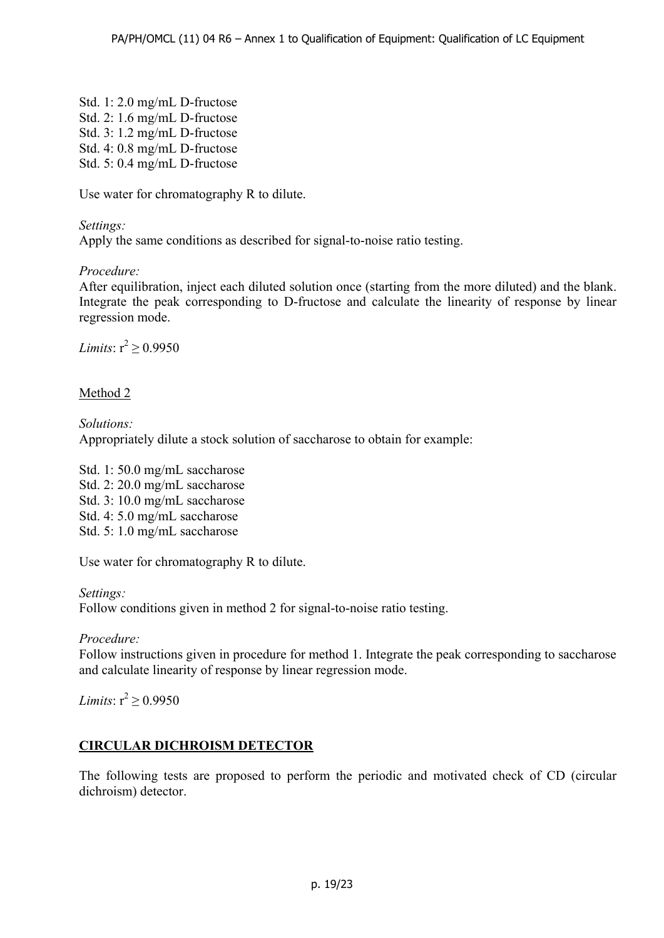Std. 1: 2.0 mg/mL D-fructose Std. 2: 1.6 mg/mL D-fructose Std. 3: 1.2 mg/mL D-fructose Std. 4: 0.8 mg/mL D-fructose Std. 5: 0.4 mg/mL D-fructose

Use water for chromatography R to dilute.

## *Settings:*

Apply the same conditions as described for signal-to-noise ratio testing.

## *Procedure:*

After equilibration, inject each diluted solution once (starting from the more diluted) and the blank. Integrate the peak corresponding to D-fructose and calculate the linearity of response by linear regression mode.

*Limits*:  $r^2 \ge 0.9950$ 

## Method 2

*Solutions:*  Appropriately dilute a stock solution of saccharose to obtain for example:

Std. 1: 50.0 mg/mL saccharose Std. 2: 20.0 mg/mL saccharose Std. 3: 10.0 mg/mL saccharose Std. 4: 5.0 mg/mL saccharose Std. 5: 1.0 mg/mL saccharose

Use water for chromatography R to dilute.

## *Settings:*

Follow conditions given in method 2 for signal-to-noise ratio testing.

## *Procedure:*

Follow instructions given in procedure for method 1. Integrate the peak corresponding to saccharose and calculate linearity of response by linear regression mode.

*Limits*:  $r^2 > 0.9950$ 

## **CIRCULAR DICHROISM DETECTOR**

The following tests are proposed to perform the periodic and motivated check of CD (circular dichroism) detector.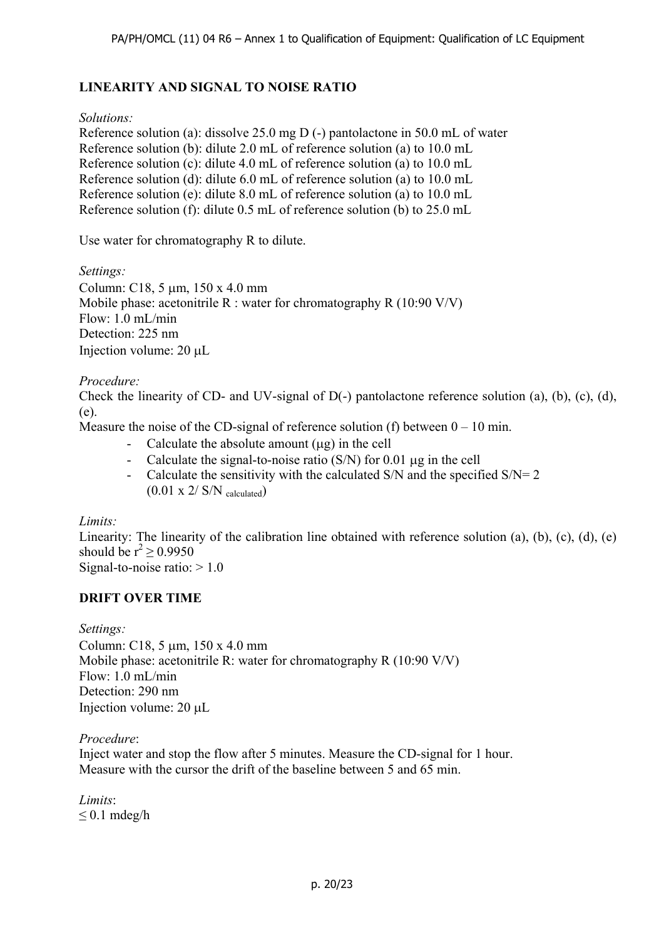## **LINEARITY AND SIGNAL TO NOISE RATIO**

#### *Solutions:*

Reference solution (a): dissolve 25.0 mg D (-) pantolactone in 50.0 mL of water Reference solution (b): dilute 2.0 mL of reference solution (a) to 10.0 mL Reference solution (c): dilute 4.0 mL of reference solution (a) to 10.0 mL Reference solution (d): dilute 6.0 mL of reference solution (a) to 10.0 mL Reference solution (e): dilute 8.0 mL of reference solution (a) to 10.0 mL Reference solution (f): dilute 0.5 mL of reference solution (b) to 25.0 mL

Use water for chromatography R to dilute.

*Settings:* 

Column: C18, 5 µm, 150 x 4.0 mm Mobile phase: acetonitrile R : water for chromatography R  $(10:90 \text{ V/V})$ Flow: 1.0 mL/min Detection: 225 nm Injection volume:  $20 \mu L$ 

*Procedure:* 

Check the linearity of CD- and UV-signal of D(-) pantolactone reference solution (a), (b), (c), (d), (e).

Measure the noise of the CD-signal of reference solution (f) between  $0 - 10$  min.

- Calculate the absolute amount  $(\mu g)$  in the cell
- Calculate the signal-to-noise ratio  $(S/N)$  for 0.01  $\mu$ g in the cell
- Calculate the sensitivity with the calculated S/N and the specified  $S/N = 2$  $(0.01 \times 2 / \text{ S/N} \text{ calculated})$

*Limits:* 

Linearity: The linearity of the calibration line obtained with reference solution (a), (b), (c), (d), (e) should be  $r^2 \ge 0.9950$ Signal-to-noise ratio:  $> 1.0$ 

## **DRIFT OVER TIME**

#### *Settings:*

Column: C18, 5 μm, 150 x 4.0 mm Mobile phase: acetonitrile R: water for chromatography R (10:90 V/V) Flow: 1.0 mL/min Detection: 290 nm Injection volume:  $20 \mu L$ 

## *Procedure*:

Inject water and stop the flow after 5 minutes. Measure the CD-signal for 1 hour. Measure with the cursor the drift of the baseline between 5 and 65 min.

*Limits*:  $\leq 0.1$  mdeg/h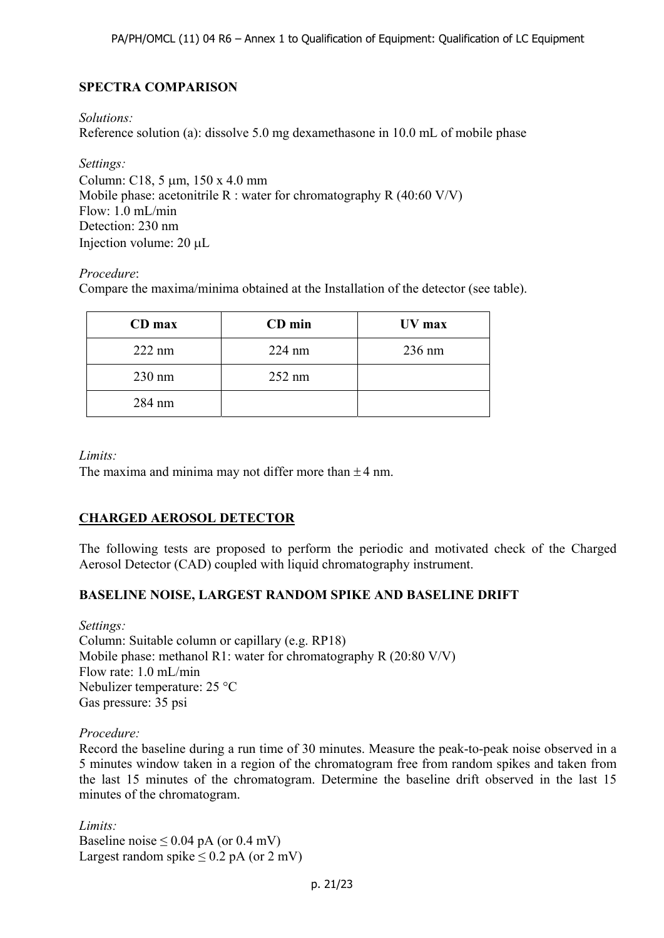## **SPECTRA COMPARISON**

#### *Solutions:*

Reference solution (a): dissolve 5.0 mg dexamethasone in 10.0 mL of mobile phase

#### *Settings:*

Column: C18, 5 um, 150 x 4.0 mm Mobile phase: acetonitrile R : water for chromatography R  $(40:60 \text{ V/V})$ Flow: 1.0 mL/min Detection: 230 nm Injection volume:  $20 \mu L$ 

#### *Procedure*:

Compare the maxima/minima obtained at the Installation of the detector (see table).

| CD max           | CD min           | UV max   |
|------------------|------------------|----------|
| $222 \text{ nm}$ | $224$ nm         | $236$ nm |
| $230 \text{ nm}$ | $252 \text{ nm}$ |          |
| 284 nm           |                  |          |

*Limits:*

The maxima and minima may not differ more than  $\pm 4$  nm.

## **CHARGED AEROSOL DETECTOR**

The following tests are proposed to perform the periodic and motivated check of the Charged Aerosol Detector (CAD) coupled with liquid chromatography instrument.

## **BASELINE NOISE, LARGEST RANDOM SPIKE AND BASELINE DRIFT**

*Settings:*  Column: Suitable column or capillary (e.g. RP18) Mobile phase: methanol R1: water for chromatography R (20:80 V/V) Flow rate: 1.0 mL/min Nebulizer temperature: 25 °C Gas pressure: 35 psi

*Procedure:*

Record the baseline during a run time of 30 minutes. Measure the peak-to-peak noise observed in a 5 minutes window taken in a region of the chromatogram free from random spikes and taken from the last 15 minutes of the chromatogram. Determine the baseline drift observed in the last 15 minutes of the chromatogram.

*Limits:*  Baseline noise  $\leq 0.04$  pA (or 0.4 mV) Largest random spike  $\leq 0.2$  pA (or 2 mV)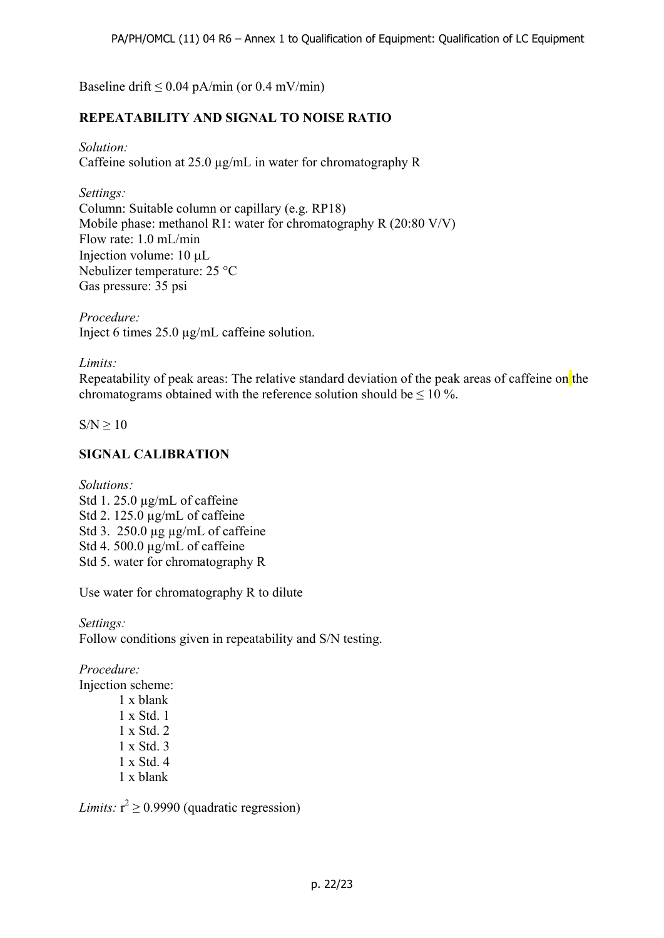Baseline drift  $\leq 0.04$  pA/min (or 0.4 mV/min)

## **REPEATABILITY AND SIGNAL TO NOISE RATIO**

*Solution:*  Caffeine solution at 25.0 µg/mL in water for chromatography R

*Settings:*  Column: Suitable column or capillary (e.g. RP18) Mobile phase: methanol R1: water for chromatography R (20:80 V/V) Flow rate: 1.0 mL/min Injection volume: 10 µL Nebulizer temperature: 25 °C Gas pressure: 35 psi

*Procedure:*  Inject 6 times 25.0 µg/mL caffeine solution.

#### *Limits:*

Repeatability of peak areas: The relative standard deviation of the peak areas of caffeine on the chromatograms obtained with the reference solution should be  $\leq 10\%$ .

 $S/N > 10$ 

## **SIGNAL CALIBRATION**

*Solutions:*  Std 1.25.0  $\mu$ g/mL of caffeine Std 2. 125.0 µg/mL of caffeine Std 3. 250.0 µg µg/mL of caffeine Std 4. 500.0 µg/mL of caffeine Std 5. water for chromatography R

Use water for chromatography R to dilute

*Settings:* Follow conditions given in repeatability and S/N testing.

*Procedure:* Injection scheme:

> 1 x blank 1 x Std. 1 1 x Std. 2 1 x Std. 3 1 x Std. 4 1 x blank

*Limits:*  $r^2 \ge 0.9990$  (quadratic regression)